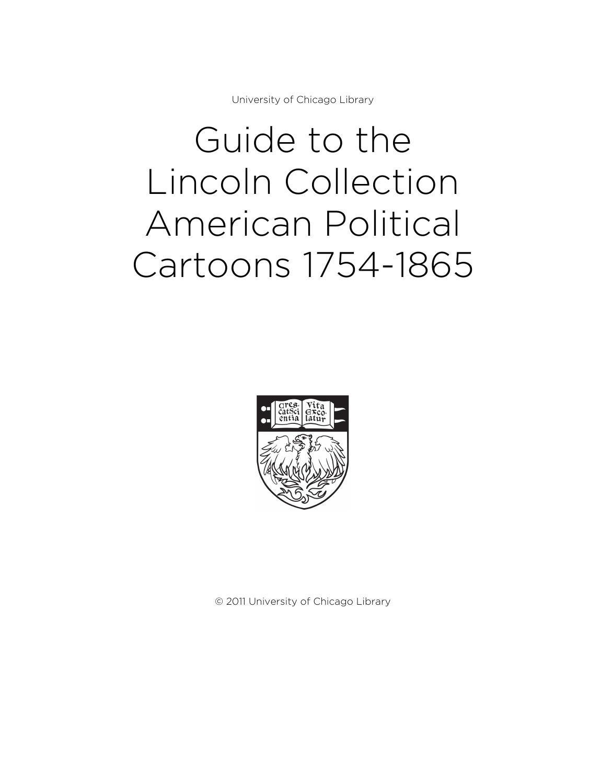University of Chicago Library

# Guide to the Lincoln Collection American Political Cartoons 1754-1865



© 2011 University of Chicago Library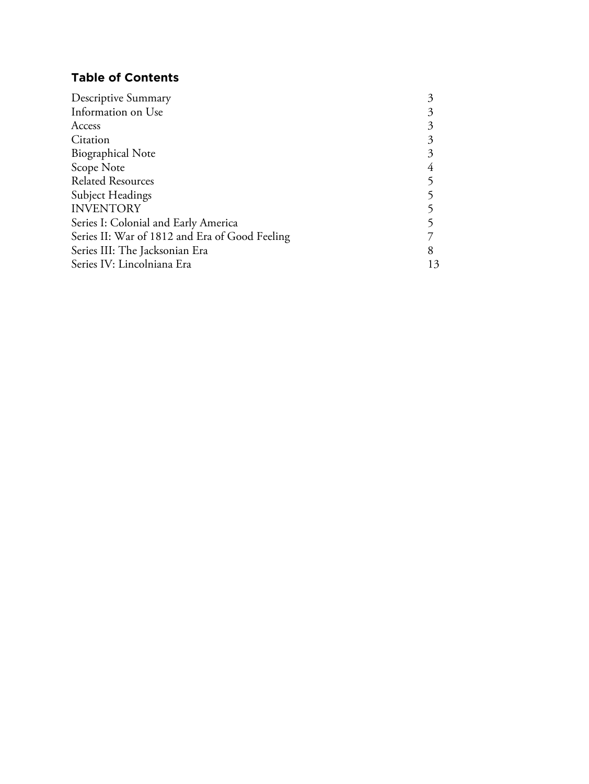# **Table of Contents**

| Descriptive Summary                            |  |
|------------------------------------------------|--|
| Information on Use                             |  |
| Access                                         |  |
| Citation                                       |  |
| <b>Biographical Note</b>                       |  |
| Scope Note                                     |  |
| <b>Related Resources</b>                       |  |
| <b>Subject Headings</b>                        |  |
| <b>INVENTORY</b>                               |  |
| Series I: Colonial and Early America           |  |
| Series II: War of 1812 and Era of Good Feeling |  |
| Series III: The Jacksonian Era                 |  |
| Series IV: Lincolniana Era                     |  |
|                                                |  |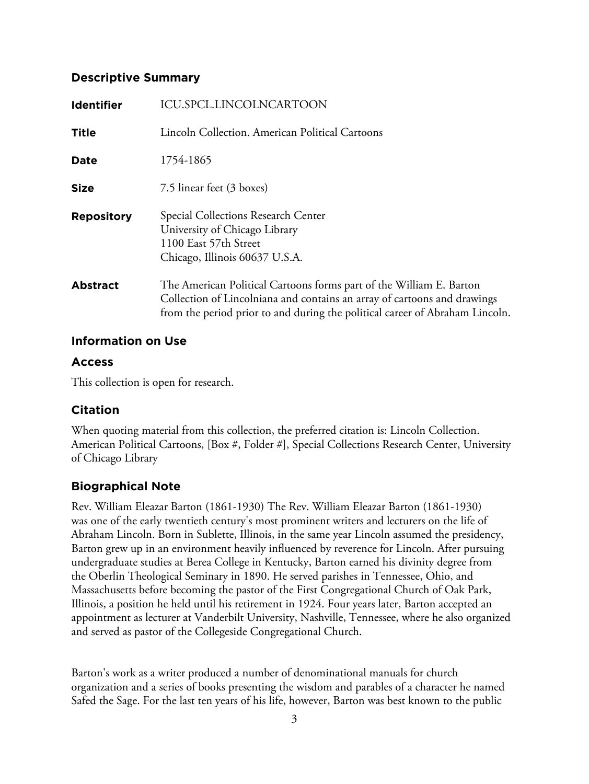#### **Descriptive Summary**

| <b>Identifier</b> | <b>ICU.SPCL.LINCOLNCARTOON</b>                                                                                                                                                                                                  |
|-------------------|---------------------------------------------------------------------------------------------------------------------------------------------------------------------------------------------------------------------------------|
| <b>Title</b>      | Lincoln Collection. American Political Cartoons                                                                                                                                                                                 |
| <b>Date</b>       | 1754-1865                                                                                                                                                                                                                       |
| <b>Size</b>       | 7.5 linear feet (3 boxes)                                                                                                                                                                                                       |
| <b>Repository</b> | Special Collections Research Center<br>University of Chicago Library<br>1100 East 57th Street<br>Chicago, Illinois 60637 U.S.A.                                                                                                 |
| <b>Abstract</b>   | The American Political Cartoons forms part of the William E. Barton<br>Collection of Lincolniana and contains an array of cartoons and drawings<br>from the period prior to and during the political career of Abraham Lincoln. |

#### **Information on Use**

### **Access**

This collection is open for research.

## **Citation**

When quoting material from this collection, the preferred citation is: Lincoln Collection. American Political Cartoons, [Box #, Folder #], Special Collections Research Center, University of Chicago Library

## **Biographical Note**

Rev. William Eleazar Barton (1861-1930) The Rev. William Eleazar Barton (1861-1930) was one of the early twentieth century's most prominent writers and lecturers on the life of Abraham Lincoln. Born in Sublette, Illinois, in the same year Lincoln assumed the presidency, Barton grew up in an environment heavily influenced by reverence for Lincoln. After pursuing undergraduate studies at Berea College in Kentucky, Barton earned his divinity degree from the Oberlin Theological Seminary in 1890. He served parishes in Tennessee, Ohio, and Massachusetts before becoming the pastor of the First Congregational Church of Oak Park, Illinois, a position he held until his retirement in 1924. Four years later, Barton accepted an appointment as lecturer at Vanderbilt University, Nashville, Tennessee, where he also organized and served as pastor of the Collegeside Congregational Church.

Barton's work as a writer produced a number of denominational manuals for church organization and a series of books presenting the wisdom and parables of a character he named Safed the Sage. For the last ten years of his life, however, Barton was best known to the public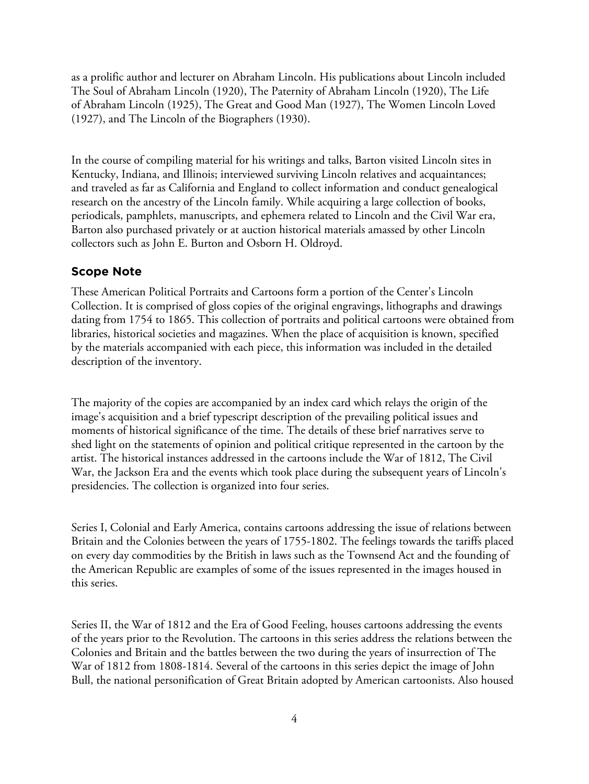as a prolific author and lecturer on Abraham Lincoln. His publications about Lincoln included The Soul of Abraham Lincoln (1920), The Paternity of Abraham Lincoln (1920), The Life of Abraham Lincoln (1925), The Great and Good Man (1927), The Women Lincoln Loved (1927), and The Lincoln of the Biographers (1930).

In the course of compiling material for his writings and talks, Barton visited Lincoln sites in Kentucky, Indiana, and Illinois; interviewed surviving Lincoln relatives and acquaintances; and traveled as far as California and England to collect information and conduct genealogical research on the ancestry of the Lincoln family. While acquiring a large collection of books, periodicals, pamphlets, manuscripts, and ephemera related to Lincoln and the Civil War era, Barton also purchased privately or at auction historical materials amassed by other Lincoln collectors such as John E. Burton and Osborn H. Oldroyd.

#### **Scope Note**

These American Political Portraits and Cartoons form a portion of the Center's Lincoln Collection. It is comprised of gloss copies of the original engravings, lithographs and drawings dating from 1754 to 1865. This collection of portraits and political cartoons were obtained from libraries, historical societies and magazines. When the place of acquisition is known, specified by the materials accompanied with each piece, this information was included in the detailed description of the inventory.

The majority of the copies are accompanied by an index card which relays the origin of the image's acquisition and a brief typescript description of the prevailing political issues and moments of historical significance of the time. The details of these brief narratives serve to shed light on the statements of opinion and political critique represented in the cartoon by the artist. The historical instances addressed in the cartoons include the War of 1812, The Civil War, the Jackson Era and the events which took place during the subsequent years of Lincoln's presidencies. The collection is organized into four series.

Series I, Colonial and Early America, contains cartoons addressing the issue of relations between Britain and the Colonies between the years of 1755-1802. The feelings towards the tariffs placed on every day commodities by the British in laws such as the Townsend Act and the founding of the American Republic are examples of some of the issues represented in the images housed in this series.

Series II, the War of 1812 and the Era of Good Feeling, houses cartoons addressing the events of the years prior to the Revolution. The cartoons in this series address the relations between the Colonies and Britain and the battles between the two during the years of insurrection of The War of 1812 from 1808-1814. Several of the cartoons in this series depict the image of John Bull, the national personification of Great Britain adopted by American cartoonists. Also housed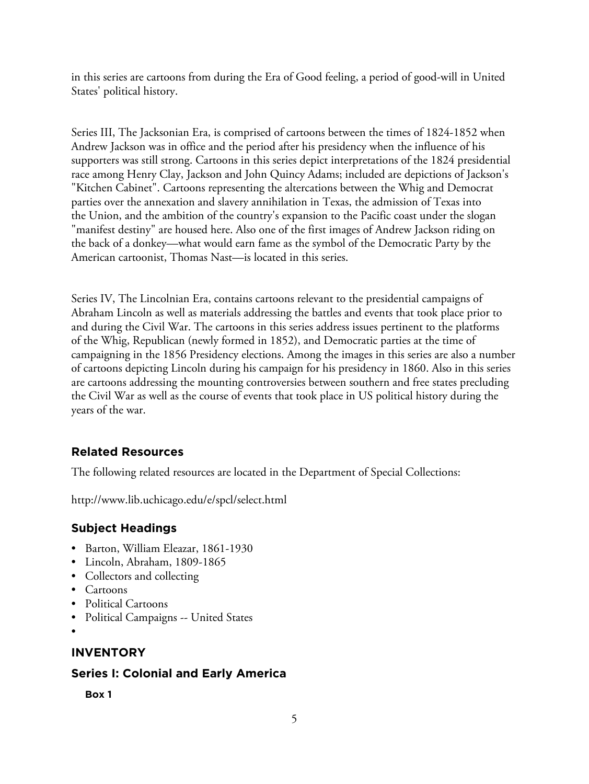in this series are cartoons from during the Era of Good feeling, a period of good-will in United States' political history.

Series III, The Jacksonian Era, is comprised of cartoons between the times of 1824-1852 when Andrew Jackson was in office and the period after his presidency when the influence of his supporters was still strong. Cartoons in this series depict interpretations of the 1824 presidential race among Henry Clay, Jackson and John Quincy Adams; included are depictions of Jackson's "Kitchen Cabinet". Cartoons representing the altercations between the Whig and Democrat parties over the annexation and slavery annihilation in Texas, the admission of Texas into the Union, and the ambition of the country's expansion to the Pacific coast under the slogan "manifest destiny" are housed here. Also one of the first images of Andrew Jackson riding on the back of a donkey—what would earn fame as the symbol of the Democratic Party by the American cartoonist, Thomas Nast—is located in this series.

Series IV, The Lincolnian Era, contains cartoons relevant to the presidential campaigns of Abraham Lincoln as well as materials addressing the battles and events that took place prior to and during the Civil War. The cartoons in this series address issues pertinent to the platforms of the Whig, Republican (newly formed in 1852), and Democratic parties at the time of campaigning in the 1856 Presidency elections. Among the images in this series are also a number of cartoons depicting Lincoln during his campaign for his presidency in 1860. Also in this series are cartoons addressing the mounting controversies between southern and free states precluding the Civil War as well as the course of events that took place in US political history during the years of the war.

# **Related Resources**

The following related resources are located in the Department of Special Collections:

http://www.lib.uchicago.edu/e/spcl/select.html

## **Subject Headings**

- Barton, William Eleazar, 1861-1930
- Lincoln, Abraham, 1809-1865
- Collectors and collecting
- Cartoons
- Political Cartoons
- Political Campaigns -- United States
- •

# **INVENTORY**

## **Series I: Colonial and Early America**

**Box 1**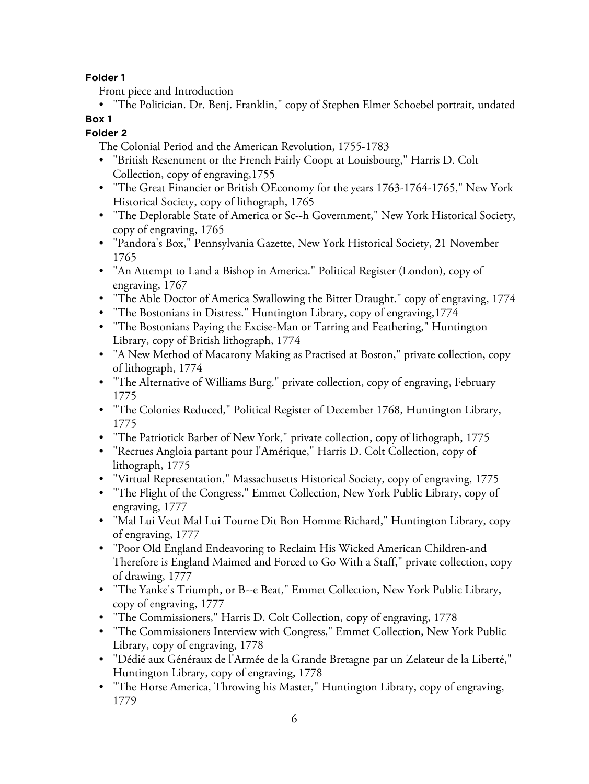#### **Folder 1**

Front piece and Introduction

• "The Politician. Dr. Benj. Franklin," copy of Stephen Elmer Schoebel portrait, undated

# **Box 1**

#### **Folder 2**

The Colonial Period and the American Revolution, 1755-1783

- "British Resentment or the French Fairly Coopt at Louisbourg," Harris D. Colt Collection, copy of engraving,1755
- "The Great Financier or British OEconomy for the years 1763-1764-1765," New York Historical Society, copy of lithograph, 1765
- "The Deplorable State of America or Sc--h Government," New York Historical Society, copy of engraving, 1765
- "Pandora's Box," Pennsylvania Gazette, New York Historical Society, 21 November 1765
- "An Attempt to Land a Bishop in America." Political Register (London), copy of engraving, 1767
- "The Able Doctor of America Swallowing the Bitter Draught." copy of engraving, 1774
- "The Bostonians in Distress." Huntington Library, copy of engraving, 1774
- "The Bostonians Paying the Excise-Man or Tarring and Feathering," Huntington Library, copy of British lithograph, 1774
- "A New Method of Macarony Making as Practised at Boston," private collection, copy of lithograph, 1774
- "The Alternative of Williams Burg." private collection, copy of engraving, February 1775
- "The Colonies Reduced," Political Register of December 1768, Huntington Library, 1775
- "The Patriotick Barber of New York," private collection, copy of lithograph, 1775
- "Recrues Angloia partant pour l'Amérique," Harris D. Colt Collection, copy of lithograph, 1775
- "Virtual Representation," Massachusetts Historical Society, copy of engraving, 1775
- "The Flight of the Congress." Emmet Collection, New York Public Library, copy of engraving, 1777
- "Mal Lui Veut Mal Lui Tourne Dit Bon Homme Richard," Huntington Library, copy of engraving, 1777
- "Poor Old England Endeavoring to Reclaim His Wicked American Children-and Therefore is England Maimed and Forced to Go With a Staff," private collection, copy of drawing, 1777
- "The Yanke's Triumph, or B--e Beat," Emmet Collection, New York Public Library, copy of engraving, 1777
- "The Commissioners," Harris D. Colt Collection, copy of engraving, 1778
- "The Commissioners Interview with Congress," Emmet Collection, New York Public Library, copy of engraving, 1778
- "Dédié aux Généraux de l'Armée de la Grande Bretagne par un Zelateur de la Liberté," Huntington Library, copy of engraving, 1778
- "The Horse America, Throwing his Master," Huntington Library, copy of engraving, 1779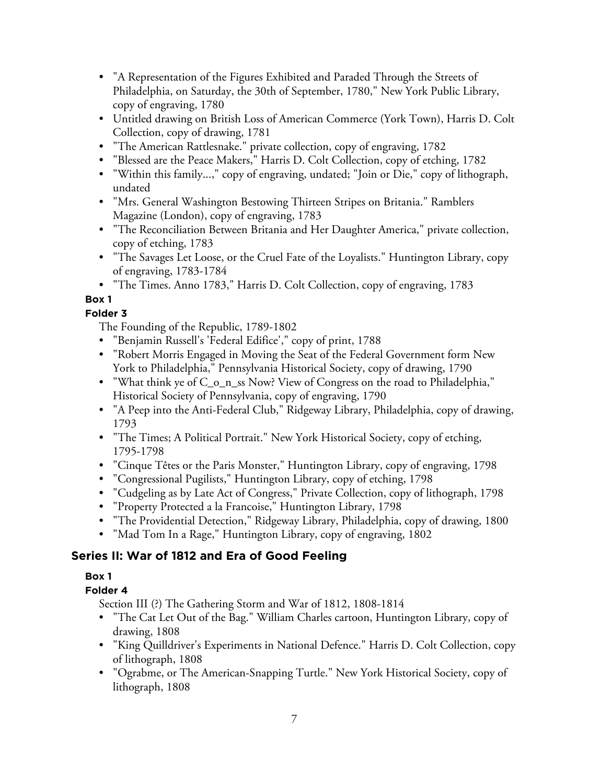- "A Representation of the Figures Exhibited and Paraded Through the Streets of Philadelphia, on Saturday, the 30th of September, 1780," New York Public Library, copy of engraving, 1780
- Untitled drawing on British Loss of American Commerce (York Town), Harris D. Colt Collection, copy of drawing, 1781
- "The American Rattlesnake." private collection, copy of engraving, 1782
- "Blessed are the Peace Makers," Harris D. Colt Collection, copy of etching, 1782
- "Within this family...," copy of engraving, undated; "Join or Die," copy of lithograph, undated
- "Mrs. General Washington Bestowing Thirteen Stripes on Britania." Ramblers Magazine (London), copy of engraving, 1783
- "The Reconciliation Between Britania and Her Daughter America," private collection, copy of etching, 1783
- "The Savages Let Loose, or the Cruel Fate of the Loyalists." Huntington Library, copy of engraving, 1783-1784

• "The Times. Anno 1783," Harris D. Colt Collection, copy of engraving, 1783

# **Box 1**

## **Folder 3**

The Founding of the Republic, 1789-1802

- "Benjamin Russell's 'Federal Edifice'," copy of print, 1788
- "Robert Morris Engaged in Moving the Seat of the Federal Government form New York to Philadelphia," Pennsylvania Historical Society, copy of drawing, 1790
- "What think ye of C\_o\_n\_ss Now? View of Congress on the road to Philadelphia," Historical Society of Pennsylvania, copy of engraving, 1790
- "A Peep into the Anti-Federal Club," Ridgeway Library, Philadelphia, copy of drawing, 1793
- "The Times; A Political Portrait." New York Historical Society, copy of etching, 1795-1798
- "Cinque Têtes or the Paris Monster," Huntington Library, copy of engraving, 1798
- "Congressional Pugilists," Huntington Library, copy of etching, 1798
- "Cudgeling as by Late Act of Congress," Private Collection, copy of lithograph, 1798
- "Property Protected a la Francoise," Huntington Library, 1798
- "The Providential Detection," Ridgeway Library, Philadelphia, copy of drawing, 1800
- "Mad Tom In a Rage," Huntington Library, copy of engraving, 1802

# **Series II: War of 1812 and Era of Good Feeling**

## **Box 1**

## **Folder 4**

Section III (?) The Gathering Storm and War of 1812, 1808-1814

- "The Cat Let Out of the Bag." William Charles cartoon, Huntington Library, copy of drawing, 1808
- "King Quilldriver's Experiments in National Defence." Harris D. Colt Collection, copy of lithograph, 1808
- "Ograbme, or The American-Snapping Turtle." New York Historical Society, copy of lithograph, 1808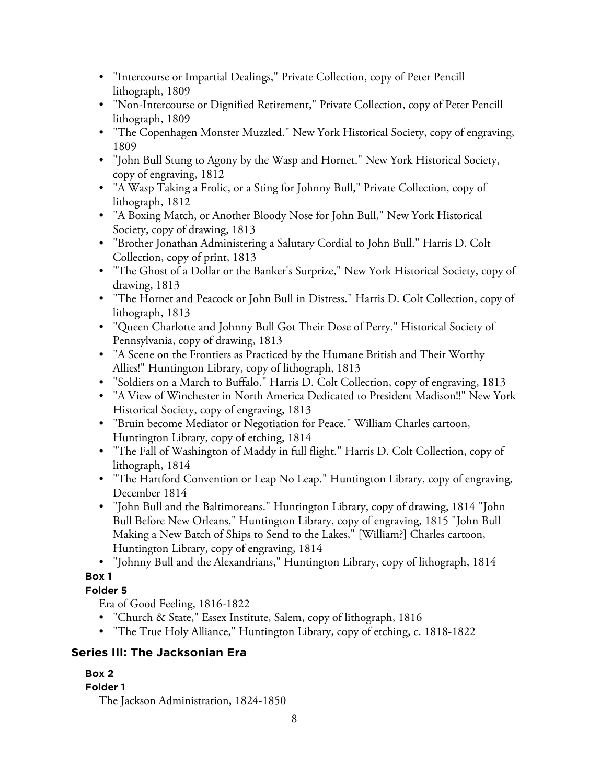- "Intercourse or Impartial Dealings," Private Collection, copy of Peter Pencill lithograph, 1809
- "Non-Intercourse or Dignified Retirement," Private Collection, copy of Peter Pencill lithograph, 1809
- "The Copenhagen Monster Muzzled." New York Historical Society, copy of engraving, 1809
- "John Bull Stung to Agony by the Wasp and Hornet." New York Historical Society, copy of engraving, 1812
- "A Wasp Taking a Frolic, or a Sting for Johnny Bull," Private Collection, copy of lithograph, 1812
- "A Boxing Match, or Another Bloody Nose for John Bull," New York Historical Society, copy of drawing, 1813
- "Brother Jonathan Administering a Salutary Cordial to John Bull." Harris D. Colt Collection, copy of print, 1813
- "The Ghost of a Dollar or the Banker's Surprize," New York Historical Society, copy of drawing, 1813
- "The Hornet and Peacock or John Bull in Distress." Harris D. Colt Collection, copy of lithograph, 1813
- "Queen Charlotte and Johnny Bull Got Their Dose of Perry," Historical Society of Pennsylvania, copy of drawing, 1813
- "A Scene on the Frontiers as Practiced by the Humane British and Their Worthy Allies!" Huntington Library, copy of lithograph, 1813
- "Soldiers on a March to Buffalo." Harris D. Colt Collection, copy of engraving, 1813
- "A View of Winchester in North America Dedicated to President Madison!!" New York Historical Society, copy of engraving, 1813
- "Bruin become Mediator or Negotiation for Peace." William Charles cartoon, Huntington Library, copy of etching, 1814
- "The Fall of Washington of Maddy in full flight." Harris D. Colt Collection, copy of lithograph, 1814
- "The Hartford Convention or Leap No Leap." Huntington Library, copy of engraving, December 1814
- "John Bull and the Baltimoreans." Huntington Library, copy of drawing, 1814 "John Bull Before New Orleans," Huntington Library, copy of engraving, 1815 "John Bull Making a New Batch of Ships to Send to the Lakes," [William?] Charles cartoon, Huntington Library, copy of engraving, 1814
- "Johnny Bull and the Alexandrians," Huntington Library, copy of lithograph, 1814

# **Folder 5**

Era of Good Feeling, 1816-1822

- "Church & State," Essex Institute, Salem, copy of lithograph, 1816
- "The True Holy Alliance," Huntington Library, copy of etching, c. 1818-1822

# **Series III: The Jacksonian Era**

# **Box 2**

# **Folder 1**

The Jackson Administration, 1824-1850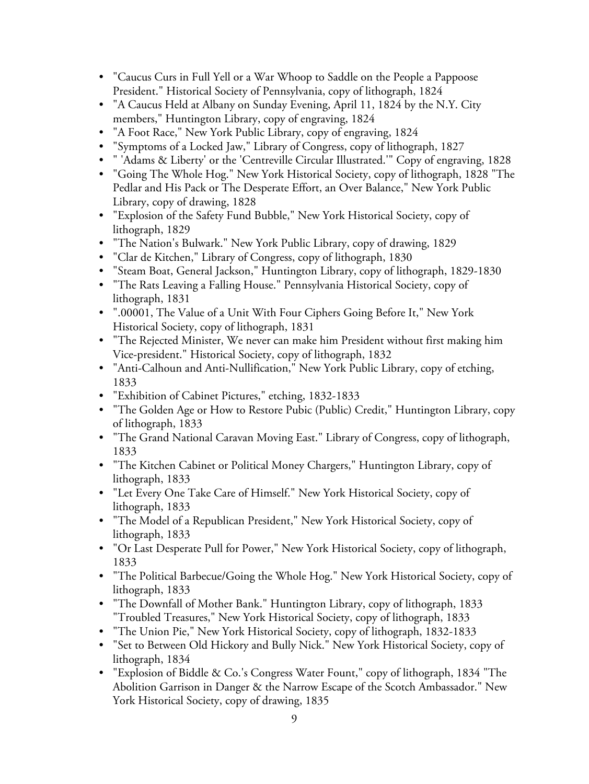- "Caucus Curs in Full Yell or a War Whoop to Saddle on the People a Pappoose President." Historical Society of Pennsylvania, copy of lithograph, 1824
- "A Caucus Held at Albany on Sunday Evening, April 11, 1824 by the N.Y. City members," Huntington Library, copy of engraving, 1824
- "A Foot Race," New York Public Library, copy of engraving, 1824
- "Symptoms of a Locked Jaw," Library of Congress, copy of lithograph, 1827
- " 'Adams & Liberty' or the 'Centreville Circular Illustrated.'" Copy of engraving, 1828
- "Going The Whole Hog." New York Historical Society, copy of lithograph, 1828 "The Pedlar and His Pack or The Desperate Effort, an Over Balance," New York Public Library, copy of drawing, 1828
- "Explosion of the Safety Fund Bubble," New York Historical Society, copy of lithograph, 1829
- "The Nation's Bulwark." New York Public Library, copy of drawing, 1829
- "Clar de Kitchen," Library of Congress, copy of lithograph, 1830
- "Steam Boat, General Jackson," Huntington Library, copy of lithograph, 1829-1830
- "The Rats Leaving a Falling House." Pennsylvania Historical Society, copy of lithograph, 1831
- ".00001, The Value of a Unit With Four Ciphers Going Before It," New York Historical Society, copy of lithograph, 1831
- "The Rejected Minister, We never can make him President without first making him Vice-president." Historical Society, copy of lithograph, 1832
- "Anti-Calhoun and Anti-Nullification," New York Public Library, copy of etching, 1833
- "Exhibition of Cabinet Pictures," etching, 1832-1833
- "The Golden Age or How to Restore Pubic (Public) Credit," Huntington Library, copy of lithograph, 1833
- "The Grand National Caravan Moving East." Library of Congress, copy of lithograph, 1833
- "The Kitchen Cabinet or Political Money Chargers," Huntington Library, copy of lithograph, 1833
- "Let Every One Take Care of Himself." New York Historical Society, copy of lithograph, 1833
- "The Model of a Republican President," New York Historical Society, copy of lithograph, 1833
- "Or Last Desperate Pull for Power," New York Historical Society, copy of lithograph, 1833
- "The Political Barbecue/Going the Whole Hog." New York Historical Society, copy of lithograph, 1833
- "The Downfall of Mother Bank." Huntington Library, copy of lithograph, 1833 "Troubled Treasures," New York Historical Society, copy of lithograph, 1833
- "The Union Pie," New York Historical Society, copy of lithograph, 1832-1833
- "Set to Between Old Hickory and Bully Nick." New York Historical Society, copy of lithograph, 1834
- "Explosion of Biddle & Co.'s Congress Water Fount," copy of lithograph, 1834 "The Abolition Garrison in Danger & the Narrow Escape of the Scotch Ambassador." New York Historical Society, copy of drawing, 1835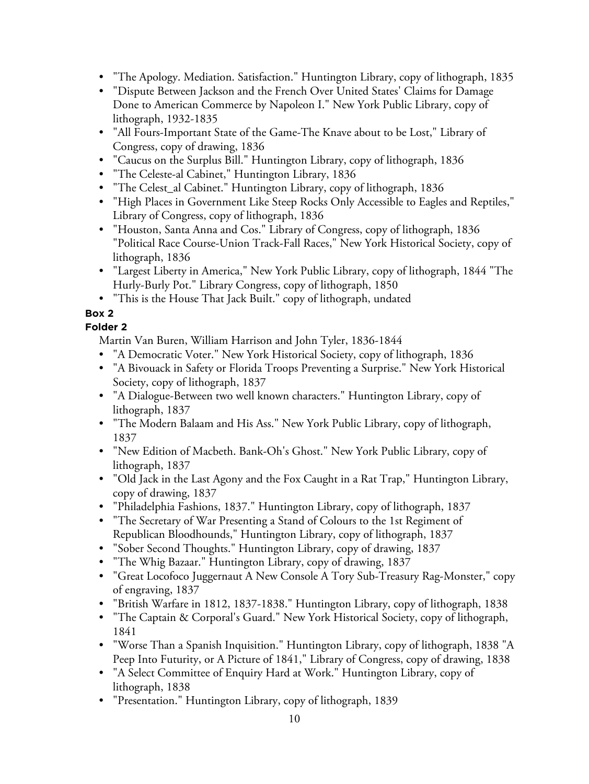- "The Apology. Mediation. Satisfaction." Huntington Library, copy of lithograph, 1835
- "Dispute Between Jackson and the French Over United States' Claims for Damage Done to American Commerce by Napoleon I." New York Public Library, copy of lithograph, 1932-1835
- "All Fours-Important State of the Game-The Knave about to be Lost," Library of Congress, copy of drawing, 1836
- "Caucus on the Surplus Bill." Huntington Library, copy of lithograph, 1836
- "The Celeste-al Cabinet," Huntington Library, 1836
- "The Celest\_al Cabinet." Huntington Library, copy of lithograph, 1836
- "High Places in Government Like Steep Rocks Only Accessible to Eagles and Reptiles," Library of Congress, copy of lithograph, 1836
- "Houston, Santa Anna and Cos." Library of Congress, copy of lithograph, 1836 "Political Race Course-Union Track-Fall Races," New York Historical Society, copy of lithograph, 1836
- "Largest Liberty in America," New York Public Library, copy of lithograph, 1844 "The Hurly-Burly Pot." Library Congress, copy of lithograph, 1850
- "This is the House That Jack Built." copy of lithograph, undated

#### **Folder 2**

Martin Van Buren, William Harrison and John Tyler, 1836-1844

- "A Democratic Voter." New York Historical Society, copy of lithograph, 1836
- "A Bivouack in Safety or Florida Troops Preventing a Surprise." New York Historical Society, copy of lithograph, 1837
- "A Dialogue-Between two well known characters." Huntington Library, copy of lithograph, 1837
- "The Modern Balaam and His Ass." New York Public Library, copy of lithograph, 1837
- "New Edition of Macbeth. Bank-Oh's Ghost." New York Public Library, copy of lithograph, 1837
- "Old Jack in the Last Agony and the Fox Caught in a Rat Trap," Huntington Library, copy of drawing, 1837
- "Philadelphia Fashions, 1837." Huntington Library, copy of lithograph, 1837
- "The Secretary of War Presenting a Stand of Colours to the 1st Regiment of Republican Bloodhounds," Huntington Library, copy of lithograph, 1837
- "Sober Second Thoughts." Huntington Library, copy of drawing, 1837
- "The Whig Bazaar." Huntington Library, copy of drawing, 1837
- "Great Locofoco Juggernaut A New Console A Tory Sub-Treasury Rag-Monster," copy of engraving, 1837
- "British Warfare in 1812, 1837-1838." Huntington Library, copy of lithograph, 1838
- "The Captain & Corporal's Guard." New York Historical Society, copy of lithograph, 1841
- "Worse Than a Spanish Inquisition." Huntington Library, copy of lithograph, 1838 "A Peep Into Futurity, or A Picture of 1841," Library of Congress, copy of drawing, 1838
- "A Select Committee of Enquiry Hard at Work." Huntington Library, copy of lithograph, 1838
- "Presentation." Huntington Library, copy of lithograph, 1839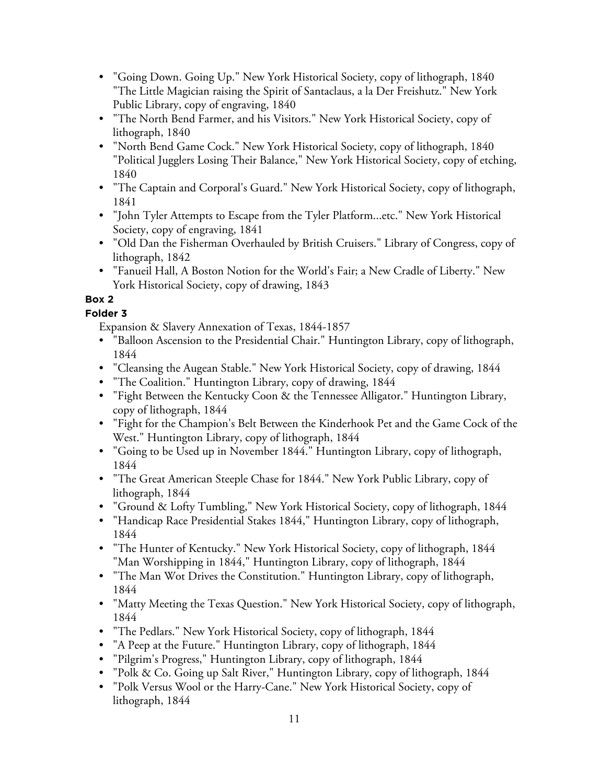- "Going Down. Going Up." New York Historical Society, copy of lithograph, 1840 "The Little Magician raising the Spirit of Santaclaus, a la Der Freishutz." New York Public Library, copy of engraving, 1840
- "The North Bend Farmer, and his Visitors." New York Historical Society, copy of lithograph, 1840
- "North Bend Game Cock." New York Historical Society, copy of lithograph, 1840 "Political Jugglers Losing Their Balance," New York Historical Society, copy of etching, 1840
- "The Captain and Corporal's Guard." New York Historical Society, copy of lithograph, 1841
- "John Tyler Attempts to Escape from the Tyler Platform...etc." New York Historical Society, copy of engraving, 1841
- "Old Dan the Fisherman Overhauled by British Cruisers." Library of Congress, copy of lithograph, 1842
- "Fanueil Hall, A Boston Notion for the World's Fair; a New Cradle of Liberty." New York Historical Society, copy of drawing, 1843

## **Folder 3**

Expansion & Slavery Annexation of Texas, 1844-1857

- "Balloon Ascension to the Presidential Chair." Huntington Library, copy of lithograph, 1844
- "Cleansing the Augean Stable." New York Historical Society, copy of drawing, 1844
- "The Coalition." Huntington Library, copy of drawing, 1844
- "Fight Between the Kentucky Coon & the Tennessee Alligator." Huntington Library, copy of lithograph, 1844
- "Fight for the Champion's Belt Between the Kinderhook Pet and the Game Cock of the West." Huntington Library, copy of lithograph, 1844
- "Going to be Used up in November 1844." Huntington Library, copy of lithograph, 1844
- "The Great American Steeple Chase for 1844." New York Public Library, copy of lithograph, 1844
- "Ground & Lofty Tumbling," New York Historical Society, copy of lithograph, 1844
- "Handicap Race Presidential Stakes 1844," Huntington Library, copy of lithograph, 1844
- "The Hunter of Kentucky." New York Historical Society, copy of lithograph, 1844 "Man Worshipping in 1844," Huntington Library, copy of lithograph, 1844
- "The Man Wot Drives the Constitution." Huntington Library, copy of lithograph, 1844
- "Matty Meeting the Texas Question." New York Historical Society, copy of lithograph, 1844
- "The Pedlars." New York Historical Society, copy of lithograph, 1844
- "A Peep at the Future." Huntington Library, copy of lithograph, 1844
- "Pilgrim's Progress," Huntington Library, copy of lithograph, 1844
- "Polk & Co. Going up Salt River," Huntington Library, copy of lithograph, 1844
- "Polk Versus Wool or the Harry-Cane." New York Historical Society, copy of lithograph, 1844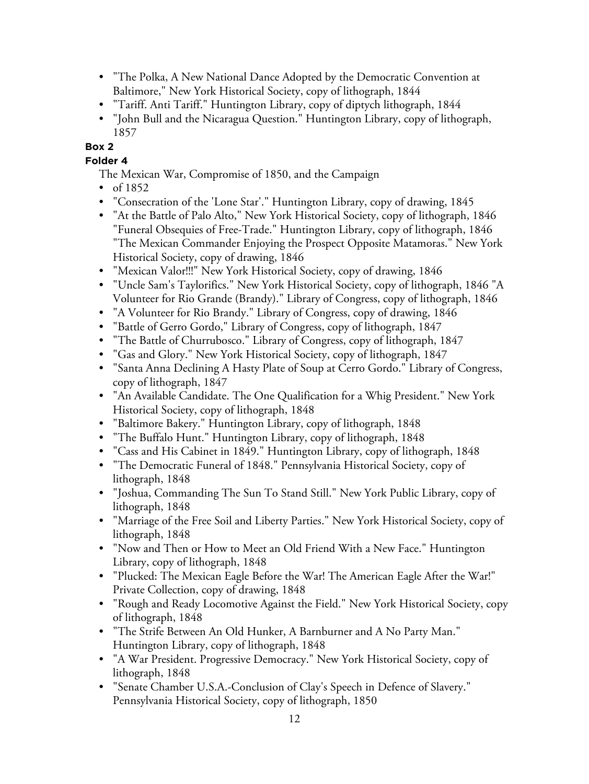- "The Polka, A New National Dance Adopted by the Democratic Convention at Baltimore," New York Historical Society, copy of lithograph, 1844
- "Tariff. Anti Tariff." Huntington Library, copy of diptych lithograph, 1844
- "John Bull and the Nicaragua Question." Huntington Library, copy of lithograph, 1857

**Folder 4**

- The Mexican War, Compromise of 1850, and the Campaign
- of  $1852$
- "Consecration of the 'Lone Star'." Huntington Library, copy of drawing, 1845
- "At the Battle of Palo Alto," New York Historical Society, copy of lithograph, 1846 "Funeral Obsequies of Free-Trade." Huntington Library, copy of lithograph, 1846 "The Mexican Commander Enjoying the Prospect Opposite Matamoras." New York Historical Society, copy of drawing, 1846
- "Mexican Valor!!!" New York Historical Society, copy of drawing, 1846
- "Uncle Sam's Taylorifics." New York Historical Society, copy of lithograph, 1846 "A Volunteer for Rio Grande (Brandy)." Library of Congress, copy of lithograph, 1846
- "A Volunteer for Rio Brandy." Library of Congress, copy of drawing, 1846
- "Battle of Gerro Gordo," Library of Congress, copy of lithograph, 1847
- "The Battle of Churrubosco." Library of Congress, copy of lithograph, 1847
- "Gas and Glory." New York Historical Society, copy of lithograph, 1847
- "Santa Anna Declining A Hasty Plate of Soup at Cerro Gordo." Library of Congress, copy of lithograph, 1847
- "An Available Candidate. The One Qualification for a Whig President." New York Historical Society, copy of lithograph, 1848
- "Baltimore Bakery." Huntington Library, copy of lithograph, 1848
- "The Buffalo Hunt." Huntington Library, copy of lithograph, 1848
- "Cass and His Cabinet in 1849." Huntington Library, copy of lithograph, 1848
- "The Democratic Funeral of 1848." Pennsylvania Historical Society, copy of lithograph, 1848
- "Joshua, Commanding The Sun To Stand Still." New York Public Library, copy of lithograph, 1848
- "Marriage of the Free Soil and Liberty Parties." New York Historical Society, copy of lithograph, 1848
- "Now and Then or How to Meet an Old Friend With a New Face." Huntington Library, copy of lithograph, 1848
- "Plucked: The Mexican Eagle Before the War! The American Eagle After the War!" Private Collection, copy of drawing, 1848
- "Rough and Ready Locomotive Against the Field." New York Historical Society, copy of lithograph, 1848
- "The Strife Between An Old Hunker, A Barnburner and A No Party Man." Huntington Library, copy of lithograph, 1848
- "A War President. Progressive Democracy." New York Historical Society, copy of lithograph, 1848
- "Senate Chamber U.S.A.-Conclusion of Clay's Speech in Defence of Slavery." Pennsylvania Historical Society, copy of lithograph, 1850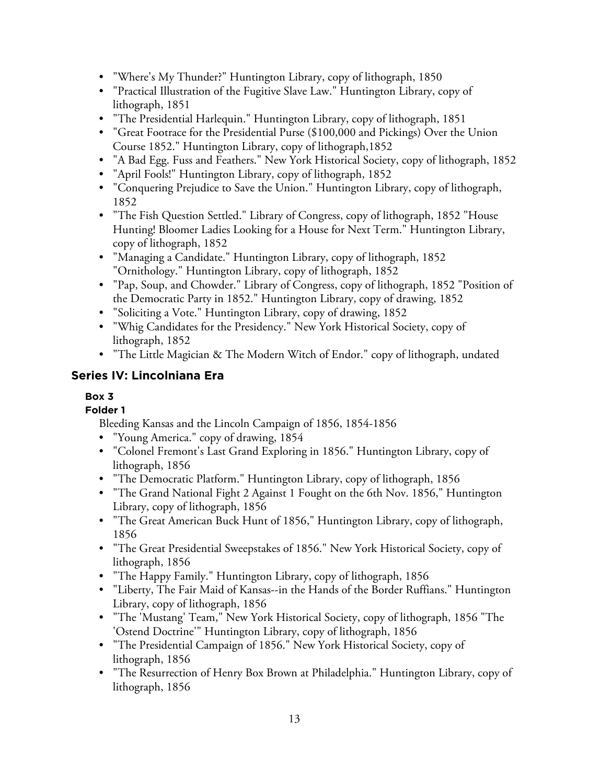- "Where's My Thunder?" Huntington Library, copy of lithograph, 1850
- "Practical Illustration of the Fugitive Slave Law." Huntington Library, copy of lithograph, 1851
- "The Presidential Harlequin." Huntington Library, copy of lithograph, 1851
- "Great Footrace for the Presidential Purse (\$100,000 and Pickings) Over the Union Course 1852." Huntington Library, copy of lithograph,1852
- "A Bad Egg. Fuss and Feathers." New York Historical Society, copy of lithograph, 1852
- "April Fools!" Huntington Library, copy of lithograph, 1852
- "Conquering Prejudice to Save the Union." Huntington Library, copy of lithograph, 1852
- "The Fish Question Settled." Library of Congress, copy of lithograph, 1852 "House Hunting! Bloomer Ladies Looking for a House for Next Term." Huntington Library, copy of lithograph, 1852
- "Managing a Candidate." Huntington Library, copy of lithograph, 1852 "Ornithology." Huntington Library, copy of lithograph, 1852
- "Pap, Soup, and Chowder." Library of Congress, copy of lithograph, 1852 "Position of the Democratic Party in 1852." Huntington Library, copy of drawing, 1852
- "Soliciting a Vote." Huntington Library, copy of drawing, 1852
- "Whig Candidates for the Presidency." New York Historical Society, copy of lithograph, 1852
- "The Little Magician & The Modern Witch of Endor." copy of lithograph, undated

## **Series IV: Lincolniana Era**

## **Box 3**

## **Folder 1**

Bleeding Kansas and the Lincoln Campaign of 1856, 1854-1856

- "Young America." copy of drawing, 1854
- "Colonel Fremont's Last Grand Exploring in 1856." Huntington Library, copy of lithograph, 1856
- "The Democratic Platform." Huntington Library, copy of lithograph, 1856
- "The Grand National Fight 2 Against 1 Fought on the 6th Nov. 1856," Huntington Library, copy of lithograph, 1856
- "The Great American Buck Hunt of 1856," Huntington Library, copy of lithograph, 1856
- "The Great Presidential Sweepstakes of 1856." New York Historical Society, copy of lithograph, 1856
- "The Happy Family." Huntington Library, copy of lithograph, 1856
- "Liberty, The Fair Maid of Kansas--in the Hands of the Border Ruffians." Huntington Library, copy of lithograph, 1856
- "The 'Mustang' Team," New York Historical Society, copy of lithograph, 1856 "The 'Ostend Doctrine'" Huntington Library, copy of lithograph, 1856
- "The Presidential Campaign of 1856." New York Historical Society, copy of lithograph, 1856
- "The Resurrection of Henry Box Brown at Philadelphia." Huntington Library, copy of lithograph, 1856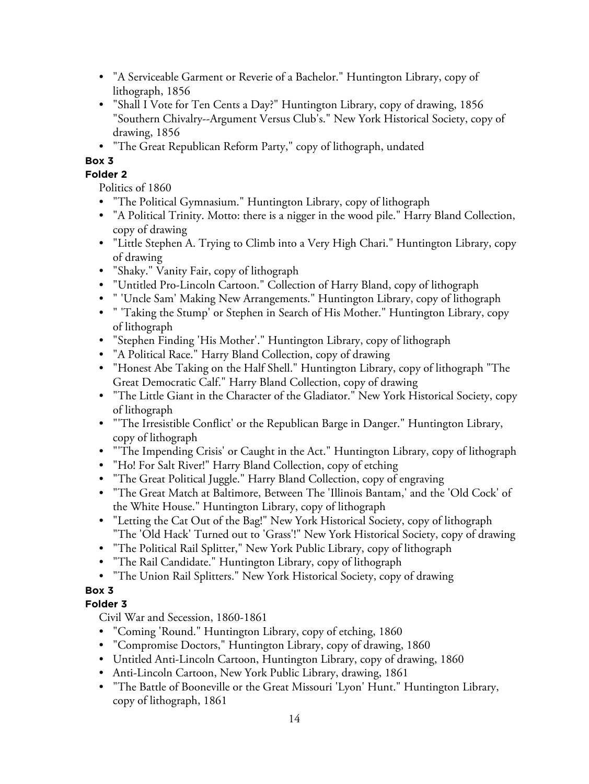- "A Serviceable Garment or Reverie of a Bachelor." Huntington Library, copy of lithograph, 1856
- "Shall I Vote for Ten Cents a Day?" Huntington Library, copy of drawing, 1856 "Southern Chivalry--Argument Versus Club's." New York Historical Society, copy of drawing, 1856
- "The Great Republican Reform Party," copy of lithograph, undated

#### **Folder 2**

Politics of 1860

- "The Political Gymnasium." Huntington Library, copy of lithograph
- "A Political Trinity. Motto: there is a nigger in the wood pile." Harry Bland Collection, copy of drawing
- "Little Stephen A. Trying to Climb into a Very High Chari." Huntington Library, copy of drawing
- "Shaky." Vanity Fair, copy of lithograph
- "Untitled Pro-Lincoln Cartoon." Collection of Harry Bland, copy of lithograph
- " 'Uncle Sam' Making New Arrangements." Huntington Library, copy of lithograph
- " 'Taking the Stump' or Stephen in Search of His Mother." Huntington Library, copy of lithograph
- "Stephen Finding 'His Mother'." Huntington Library, copy of lithograph
- "A Political Race." Harry Bland Collection, copy of drawing
- "Honest Abe Taking on the Half Shell." Huntington Library, copy of lithograph "The Great Democratic Calf." Harry Bland Collection, copy of drawing
- "The Little Giant in the Character of the Gladiator." New York Historical Society, copy of lithograph
- "'The Irresistible Conflict' or the Republican Barge in Danger." Huntington Library, copy of lithograph
- "'The Impending Crisis' or Caught in the Act." Huntington Library, copy of lithograph
- "Ho! For Salt River!" Harry Bland Collection, copy of etching
- "The Great Political Juggle." Harry Bland Collection, copy of engraving
- "The Great Match at Baltimore, Between The 'Illinois Bantam,' and the 'Old Cock' of the White House." Huntington Library, copy of lithograph
- "Letting the Cat Out of the Bag!" New York Historical Society, copy of lithograph "The 'Old Hack' Turned out to 'Grass'!" New York Historical Society, copy of drawing
- "The Political Rail Splitter," New York Public Library, copy of lithograph
- "The Rail Candidate." Huntington Library, copy of lithograph
- "The Union Rail Splitters." New York Historical Society, copy of drawing

#### **Box 3**

#### **Folder 3**

Civil War and Secession, 1860-1861

- "Coming 'Round." Huntington Library, copy of etching, 1860
- "Compromise Doctors," Huntington Library, copy of drawing, 1860
- Untitled Anti-Lincoln Cartoon, Huntington Library, copy of drawing, 1860
- Anti-Lincoln Cartoon, New York Public Library, drawing, 1861
- "The Battle of Booneville or the Great Missouri 'Lyon' Hunt." Huntington Library, copy of lithograph, 1861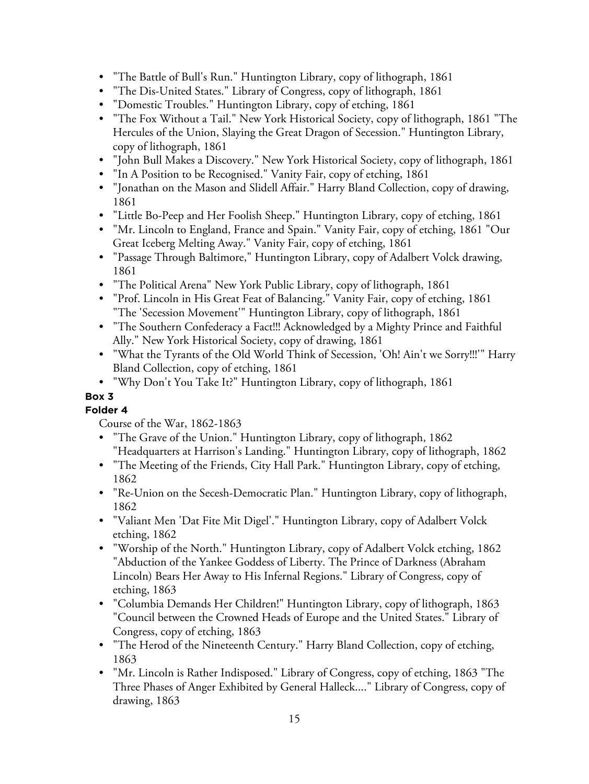- "The Battle of Bull's Run." Huntington Library, copy of lithograph, 1861
- "The Dis-United States." Library of Congress, copy of lithograph, 1861
- "Domestic Troubles." Huntington Library, copy of etching, 1861
- "The Fox Without a Tail." New York Historical Society, copy of lithograph, 1861 "The Hercules of the Union, Slaying the Great Dragon of Secession." Huntington Library, copy of lithograph, 1861
- "John Bull Makes a Discovery." New York Historical Society, copy of lithograph, 1861
- "In A Position to be Recognised." Vanity Fair, copy of etching, 1861
- "Jonathan on the Mason and Slidell Affair." Harry Bland Collection, copy of drawing, 1861
- "Little Bo-Peep and Her Foolish Sheep." Huntington Library, copy of etching, 1861
- "Mr. Lincoln to England, France and Spain." Vanity Fair, copy of etching, 1861 "Our Great Iceberg Melting Away." Vanity Fair, copy of etching, 1861
- "Passage Through Baltimore," Huntington Library, copy of Adalbert Volck drawing, 1861
- "The Political Arena" New York Public Library, copy of lithograph, 1861
- "Prof. Lincoln in His Great Feat of Balancing." Vanity Fair, copy of etching, 1861 "The 'Secession Movement'" Huntington Library, copy of lithograph, 1861
- "The Southern Confederacy a Fact!!! Acknowledged by a Mighty Prince and Faithful Ally." New York Historical Society, copy of drawing, 1861
- "What the Tyrants of the Old World Think of Secession, 'Oh! Ain't we Sorry!!!'" Harry Bland Collection, copy of etching, 1861
- "Why Don't You Take It?" Huntington Library, copy of lithograph, 1861

**Folder 4**

Course of the War, 1862-1863

- "The Grave of the Union." Huntington Library, copy of lithograph, 1862 "Headquarters at Harrison's Landing." Huntington Library, copy of lithograph, 1862
- "The Meeting of the Friends, City Hall Park." Huntington Library, copy of etching, 1862
- "Re-Union on the Secesh-Democratic Plan." Huntington Library, copy of lithograph, 1862
- "Valiant Men 'Dat Fite Mit Digel'." Huntington Library, copy of Adalbert Volck etching, 1862
- "Worship of the North." Huntington Library, copy of Adalbert Volck etching, 1862 "Abduction of the Yankee Goddess of Liberty. The Prince of Darkness (Abraham Lincoln) Bears Her Away to His Infernal Regions." Library of Congress, copy of etching, 1863
- "Columbia Demands Her Children!" Huntington Library, copy of lithograph, 1863 "Council between the Crowned Heads of Europe and the United States." Library of Congress, copy of etching, 1863
- "The Herod of the Nineteenth Century." Harry Bland Collection, copy of etching, 1863
- "Mr. Lincoln is Rather Indisposed." Library of Congress, copy of etching, 1863 "The Three Phases of Anger Exhibited by General Halleck...." Library of Congress, copy of drawing, 1863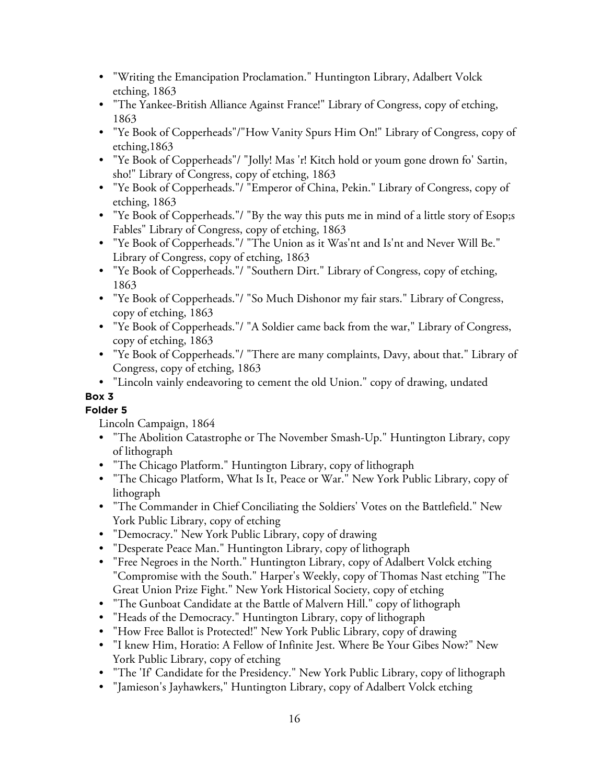- "Writing the Emancipation Proclamation." Huntington Library, Adalbert Volck etching, 1863
- "The Yankee-British Alliance Against France!" Library of Congress, copy of etching, 1863
- "Ye Book of Copperheads"/"How Vanity Spurs Him On!" Library of Congress, copy of etching,1863
- "Ye Book of Copperheads"/ "Jolly! Mas 'r! Kitch hold or youm gone drown fo' Sartin, sho!" Library of Congress, copy of etching, 1863
- "Ye Book of Copperheads."/ "Emperor of China, Pekin." Library of Congress, copy of etching, 1863
- "Ye Book of Copperheads."/ "By the way this puts me in mind of a little story of Esop;s Fables" Library of Congress, copy of etching, 1863
- "Ye Book of Copperheads."/ "The Union as it Was'nt and Is'nt and Never Will Be." Library of Congress, copy of etching, 1863
- "Ye Book of Copperheads."/ "Southern Dirt." Library of Congress, copy of etching, 1863
- "Ye Book of Copperheads."/ "So Much Dishonor my fair stars." Library of Congress, copy of etching, 1863
- "Ye Book of Copperheads."/ "A Soldier came back from the war," Library of Congress, copy of etching, 1863
- "Ye Book of Copperheads."/ "There are many complaints, Davy, about that." Library of Congress, copy of etching, 1863
- "Lincoln vainly endeavoring to cement the old Union." copy of drawing, undated

**Folder 5**

Lincoln Campaign, 1864

- "The Abolition Catastrophe or The November Smash-Up." Huntington Library, copy of lithograph
- "The Chicago Platform." Huntington Library, copy of lithograph
- "The Chicago Platform, What Is It, Peace or War." New York Public Library, copy of lithograph
- "The Commander in Chief Conciliating the Soldiers' Votes on the Battlefield." New York Public Library, copy of etching
- "Democracy." New York Public Library, copy of drawing
- "Desperate Peace Man." Huntington Library, copy of lithograph
- "Free Negroes in the North." Huntington Library, copy of Adalbert Volck etching "Compromise with the South." Harper's Weekly, copy of Thomas Nast etching "The Great Union Prize Fight." New York Historical Society, copy of etching
- "The Gunboat Candidate at the Battle of Malvern Hill." copy of lithograph
- "Heads of the Democracy." Huntington Library, copy of lithograph
- "How Free Ballot is Protected!" New York Public Library, copy of drawing
- "I knew Him, Horatio: A Fellow of Infinite Jest. Where Be Your Gibes Now?" New York Public Library, copy of etching
- "The 'If' Candidate for the Presidency." New York Public Library, copy of lithograph
- "Jamieson's Jayhawkers," Huntington Library, copy of Adalbert Volck etching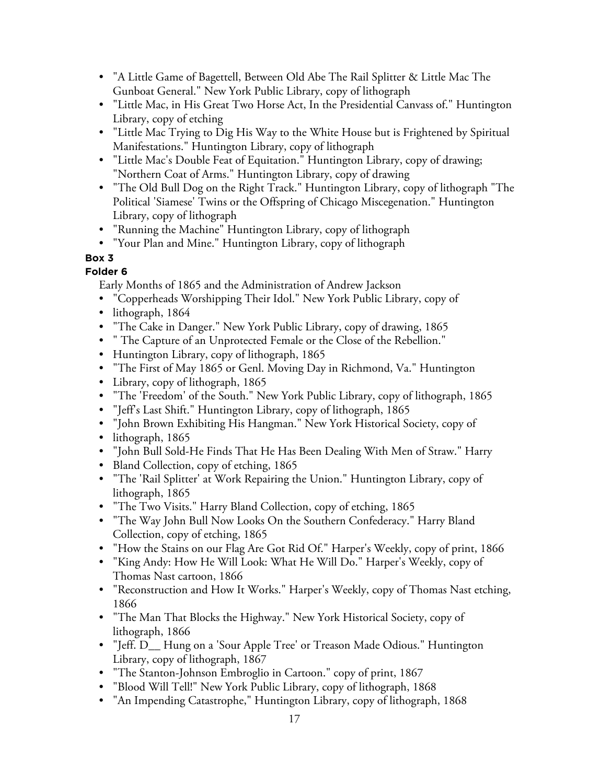- "A Little Game of Bagettell, Between Old Abe The Rail Splitter & Little Mac The Gunboat General." New York Public Library, copy of lithograph
- "Little Mac, in His Great Two Horse Act, In the Presidential Canvass of." Huntington Library, copy of etching
- "Little Mac Trying to Dig His Way to the White House but is Frightened by Spiritual Manifestations." Huntington Library, copy of lithograph
- "Little Mac's Double Feat of Equitation." Huntington Library, copy of drawing; "Northern Coat of Arms." Huntington Library, copy of drawing
- "The Old Bull Dog on the Right Track." Huntington Library, copy of lithograph "The Political 'Siamese' Twins or the Offspring of Chicago Miscegenation." Huntington Library, copy of lithograph
- "Running the Machine" Huntington Library, copy of lithograph
- "Your Plan and Mine." Huntington Library, copy of lithograph

## **Folder 6**

Early Months of 1865 and the Administration of Andrew Jackson

- "Copperheads Worshipping Their Idol." New York Public Library, copy of
- lithograph, 1864
- "The Cake in Danger." New York Public Library, copy of drawing, 1865
- " The Capture of an Unprotected Female or the Close of the Rebellion."
- Huntington Library, copy of lithograph, 1865
- "The First of May 1865 or Genl. Moving Day in Richmond, Va." Huntington
- Library, copy of lithograph, 1865
- "The 'Freedom' of the South." New York Public Library, copy of lithograph, 1865
- "Jeff's Last Shift." Huntington Library, copy of lithograph, 1865
- "John Brown Exhibiting His Hangman." New York Historical Society, copy of
- lithograph, 1865
- "John Bull Sold-He Finds That He Has Been Dealing With Men of Straw." Harry
- Bland Collection, copy of etching, 1865
- "The 'Rail Splitter' at Work Repairing the Union." Huntington Library, copy of lithograph, 1865
- "The Two Visits." Harry Bland Collection, copy of etching, 1865
- "The Way John Bull Now Looks On the Southern Confederacy." Harry Bland Collection, copy of etching, 1865
- "How the Stains on our Flag Are Got Rid Of." Harper's Weekly, copy of print, 1866
- "King Andy: How He Will Look: What He Will Do." Harper's Weekly, copy of Thomas Nast cartoon, 1866
- "Reconstruction and How It Works." Harper's Weekly, copy of Thomas Nast etching, 1866
- "The Man That Blocks the Highway." New York Historical Society, copy of lithograph, 1866
- "Jeff. D\_\_ Hung on a 'Sour Apple Tree' or Treason Made Odious." Huntington Library, copy of lithograph, 1867
- "The Stanton-Johnson Embroglio in Cartoon." copy of print, 1867
- "Blood Will Tell!" New York Public Library, copy of lithograph, 1868
- "An Impending Catastrophe," Huntington Library, copy of lithograph, 1868